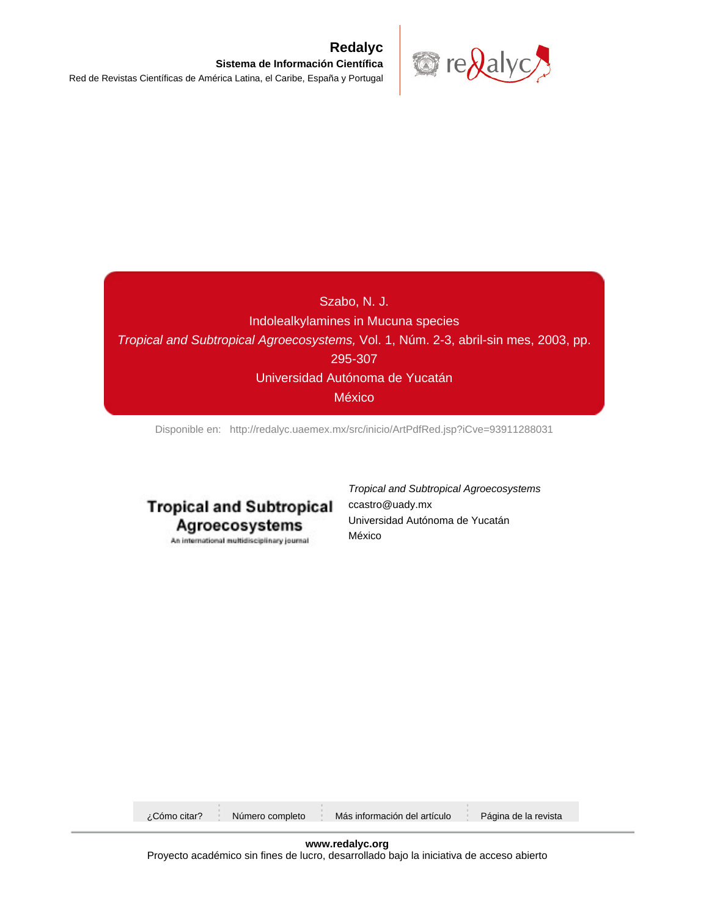

# Szabo, N. J. Indolealkylamines in Mucuna species Tropical and Subtropical Agroecosystems, Vol. 1, Núm. 2-3, abril-sin mes, 2003, pp. 295-307 Universidad Autónoma de Yucatán México

[Disponible en: http://redalyc.uaemex.mx/src/inicio/ArtPdfRed.jsp?iCve=93911288031](http://redalyc.uaemex.mx/src/inicio/ArtPdfRed.jsp?iCve=93911288031)

# **Tropical and Subtropical** Agroecosystems

An international multidisciplinary journal

Tropical and Subtropical Agroecosystems ccastro@uady.mx Universidad Autónoma de Yucatán México

| Cómo citar? ¿ | Número completo | Más información del artículo | Página de la revista |
|---------------|-----------------|------------------------------|----------------------|
|               |                 |                              |                      |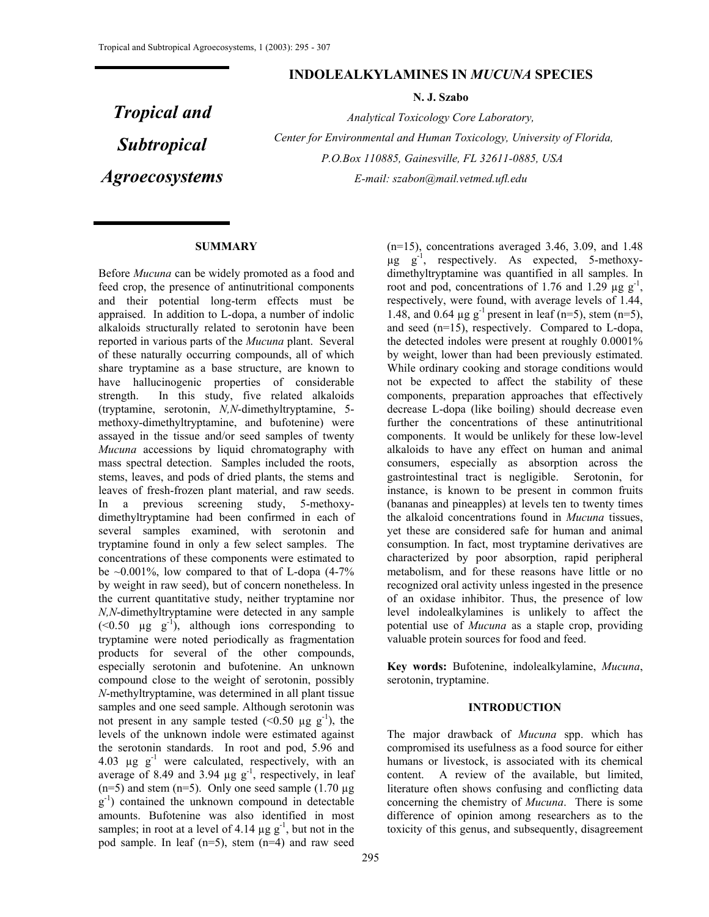## **INDOLEALKYLAMINES IN** *MUCUNA* **SPECIES**

**N. J. Szabo** 

*Tropical and Subtropical Agroecosystems* 

*Analytical Toxicology Core Laboratory, Center for Environmental and Human Toxicology, University of Florida, P.O.Box 110885, Gainesville, FL 32611-0885, USA E-mail: szabon@mail.vetmed.ufl.edu* 

#### **SUMMARY**

Before *Mucuna* can be widely promoted as a food and feed crop, the presence of antinutritional components and their potential long-term effects must be appraised. In addition to L-dopa, a number of indolic alkaloids structurally related to serotonin have been reported in various parts of the *Mucuna* plant. Several of these naturally occurring compounds, all of which share tryptamine as a base structure, are known to have hallucinogenic properties of considerable strength. In this study, five related alkaloids (tryptamine, serotonin, *N,N*-dimethyltryptamine, 5 methoxy-dimethyltryptamine, and bufotenine) were assayed in the tissue and/or seed samples of twenty *Mucuna* accessions by liquid chromatography with mass spectral detection. Samples included the roots, stems, leaves, and pods of dried plants, the stems and leaves of fresh-frozen plant material, and raw seeds. In a previous screening study, 5-methoxydimethyltryptamine had been confirmed in each of several samples examined, with serotonin and tryptamine found in only a few select samples. The concentrations of these components were estimated to be  $\sim 0.001\%$ , low compared to that of L-dopa (4-7%) by weight in raw seed), but of concern nonetheless. In the current quantitative study, neither tryptamine nor *N,N*-dimethyltryptamine were detected in any sample  $(< 0.50$   $\mu$ g g<sup>-1</sup>), although ions corresponding to tryptamine were noted periodically as fragmentation products for several of the other compounds, especially serotonin and bufotenine. An unknown compound close to the weight of serotonin, possibly *N*-methyltryptamine, was determined in all plant tissue samples and one seed sample. Although serotonin was not present in any sample tested  $(<0.50 \text{ µg g}^{-1})$ , the levels of the unknown indole were estimated against the serotonin standards. In root and pod, 5.96 and 4.03  $\mu$ g g<sup>-1</sup> were calculated, respectively, with an average of 8.49 and 3.94  $\mu$ g g<sup>-1</sup>, respectively, in leaf  $(n=5)$  and stem  $(n=5)$ . Only one seed sample  $(1.70 \mu g)$  $g^{-1}$ ) contained the unknown compound in detectable amounts. Bufotenine was also identified in most samples; in root at a level of 4.14  $\mu$ g g<sup>-1</sup>, but not in the pod sample. In leaf (n=5), stem (n=4) and raw seed

(n=15), concentrations averaged 3.46, 3.09, and 1.48  $\mu$ g g<sup>-1</sup>, respectively. As expected, 5-methoxydimethyltryptamine was quantified in all samples. In root and pod, concentrations of 1.76 and 1.29  $\mu$ g g<sup>-1</sup>, respectively, were found, with average levels of 1.44, 1.48, and 0.64  $\mu$ g g<sup>-1</sup> present in leaf (n=5), stem (n=5), and seed (n=15), respectively. Compared to L-dopa, the detected indoles were present at roughly 0.0001% by weight, lower than had been previously estimated. While ordinary cooking and storage conditions would not be expected to affect the stability of these components, preparation approaches that effectively decrease L-dopa (like boiling) should decrease even further the concentrations of these antinutritional components. It would be unlikely for these low-level alkaloids to have any effect on human and animal consumers, especially as absorption across the gastrointestinal tract is negligible. Serotonin, for instance, is known to be present in common fruits (bananas and pineapples) at levels ten to twenty times the alkaloid concentrations found in *Mucuna* tissues, yet these are considered safe for human and animal consumption. In fact, most tryptamine derivatives are characterized by poor absorption, rapid peripheral metabolism, and for these reasons have little or no recognized oral activity unless ingested in the presence of an oxidase inhibitor. Thus, the presence of low level indolealkylamines is unlikely to affect the potential use of *Mucuna* as a staple crop, providing valuable protein sources for food and feed.

**Key words:** Bufotenine, indolealkylamine, *Mucuna*, serotonin, tryptamine.

#### **INTRODUCTION**

The major drawback of *Mucuna* spp. which has compromised its usefulness as a food source for either humans or livestock, is associated with its chemical content. A review of the available, but limited, literature often shows confusing and conflicting data concerning the chemistry of *Mucuna*. There is some difference of opinion among researchers as to the toxicity of this genus, and subsequently, disagreement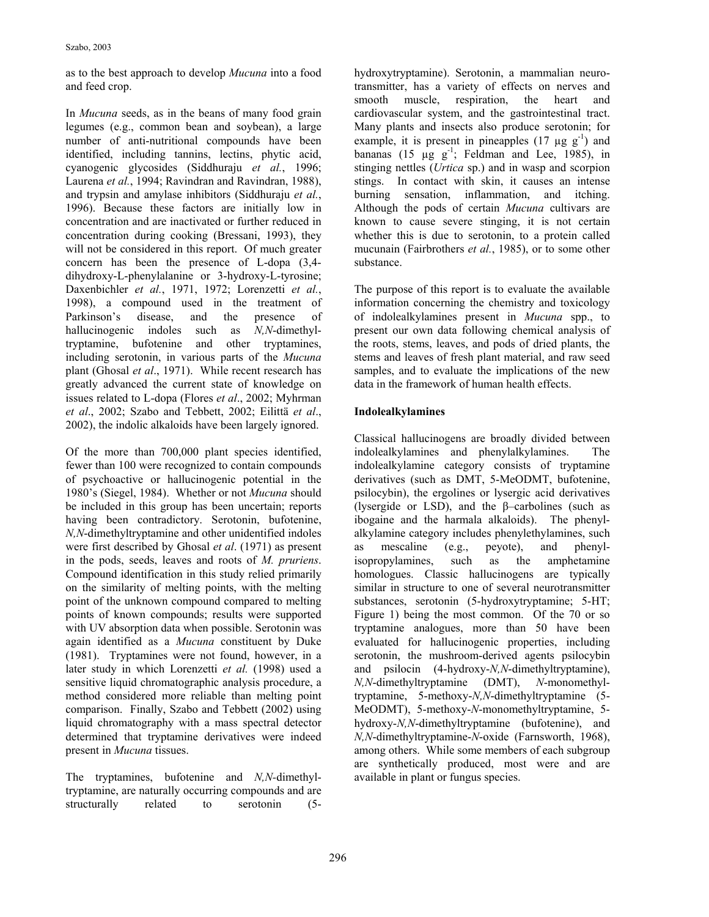as to the best approach to develop *Mucuna* into a food and feed crop.

In *Mucuna* seeds, as in the beans of many food grain legumes (e.g., common bean and soybean), a large number of anti-nutritional compounds have been identified, including tannins, lectins, phytic acid, cyanogenic glycosides (Siddhuraju *et al.*, 1996; Laurena *et al.*, 1994; Ravindran and Ravindran, 1988), and trypsin and amylase inhibitors (Siddhuraju *et al.*, 1996). Because these factors are initially low in concentration and are inactivated or further reduced in concentration during cooking (Bressani, 1993), they will not be considered in this report. Of much greater concern has been the presence of L-dopa (3,4 dihydroxy-L-phenylalanine or 3-hydroxy-L-tyrosine; Daxenbichler *et al.*, 1971, 1972; Lorenzetti *et al.*, 1998), a compound used in the treatment of Parkinson's disease, and the presence of hallucinogenic indoles such as *N,N*-dimethyltryptamine, bufotenine and other tryptamines, including serotonin, in various parts of the *Mucuna* plant (Ghosal *et al*., 1971). While recent research has greatly advanced the current state of knowledge on issues related to L-dopa (Flores *et al*., 2002; Myhrman *et al*., 2002; Szabo and Tebbett, 2002; Eilittä *et al*., 2002), the indolic alkaloids have been largely ignored.

Of the more than 700,000 plant species identified, fewer than 100 were recognized to contain compounds of psychoactive or hallucinogenic potential in the 1980's (Siegel, 1984). Whether or not *Mucuna* should be included in this group has been uncertain; reports having been contradictory. Serotonin, bufotenine, *N,N*-dimethyltryptamine and other unidentified indoles were first described by Ghosal *et al*. (1971) as present in the pods, seeds, leaves and roots of *M. pruriens*. Compound identification in this study relied primarily on the similarity of melting points, with the melting point of the unknown compound compared to melting points of known compounds; results were supported with UV absorption data when possible. Serotonin was again identified as a *Mucuna* constituent by Duke (1981). Tryptamines were not found, however, in a later study in which Lorenzetti *et al.* (1998) used a sensitive liquid chromatographic analysis procedure, a method considered more reliable than melting point comparison. Finally, Szabo and Tebbett (2002) using liquid chromatography with a mass spectral detector determined that tryptamine derivatives were indeed present in *Mucuna* tissues.

The tryptamines, bufotenine and *N,N-*dimethyltryptamine, are naturally occurring compounds and are structurally related to serotonin (5-

hydroxytryptamine). Serotonin, a mammalian neurotransmitter, has a variety of effects on nerves and smooth muscle, respiration, the heart and cardiovascular system, and the gastrointestinal tract. Many plants and insects also produce serotonin; for example, it is present in pineapples  $(17 \mu g g^{-1})$  and bananas (15  $\mu$ g g<sup>-1</sup>; Feldman and Lee, 1985), in stinging nettles (*Urtica* sp.) and in wasp and scorpion stings. In contact with skin, it causes an intense burning sensation, inflammation, and itching. Although the pods of certain *Mucuna* cultivars are known to cause severe stinging, it is not certain whether this is due to serotonin, to a protein called mucunain (Fairbrothers *et al.*, 1985), or to some other substance.

The purpose of this report is to evaluate the available information concerning the chemistry and toxicology of indolealkylamines present in *Mucuna* spp., to present our own data following chemical analysis of the roots, stems, leaves, and pods of dried plants, the stems and leaves of fresh plant material, and raw seed samples, and to evaluate the implications of the new data in the framework of human health effects.

# **Indolealkylamines**

Classical hallucinogens are broadly divided between indolealkylamines and phenylalkylamines. The indolealkylamine category consists of tryptamine derivatives (such as DMT, 5-MeODMT, bufotenine, psilocybin), the ergolines or lysergic acid derivatives (lysergide or LSD), and the  $\beta$ -carbolines (such as ibogaine and the harmala alkaloids). The phenylalkylamine category includes phenylethylamines, such as mescaline (e.g., peyote), and phenylisopropylamines, such as the amphetamine homologues. Classic hallucinogens are typically similar in structure to one of several neurotransmitter substances, serotonin (5-hydroxytryptamine; 5-HT; Figure 1) being the most common. Of the 70 or so tryptamine analogues, more than 50 have been evaluated for hallucinogenic properties, including serotonin, the mushroom-derived agents psilocybin and psilocin (4-hydroxy-*N,N*-dimethyltryptamine), *N,N*-dimethyltryptamine (DMT), *N*-monomethyltryptamine, 5-methoxy-*N,N*-dimethyltryptamine (5- MeODMT), 5-methoxy-*N*-monomethyltryptamine, 5 hydroxy-*N,N*-dimethyltryptamine (bufotenine), and *N,N*-dimethyltryptamine-*N*-oxide (Farnsworth, 1968), among others. While some members of each subgroup are synthetically produced, most were and are available in plant or fungus species.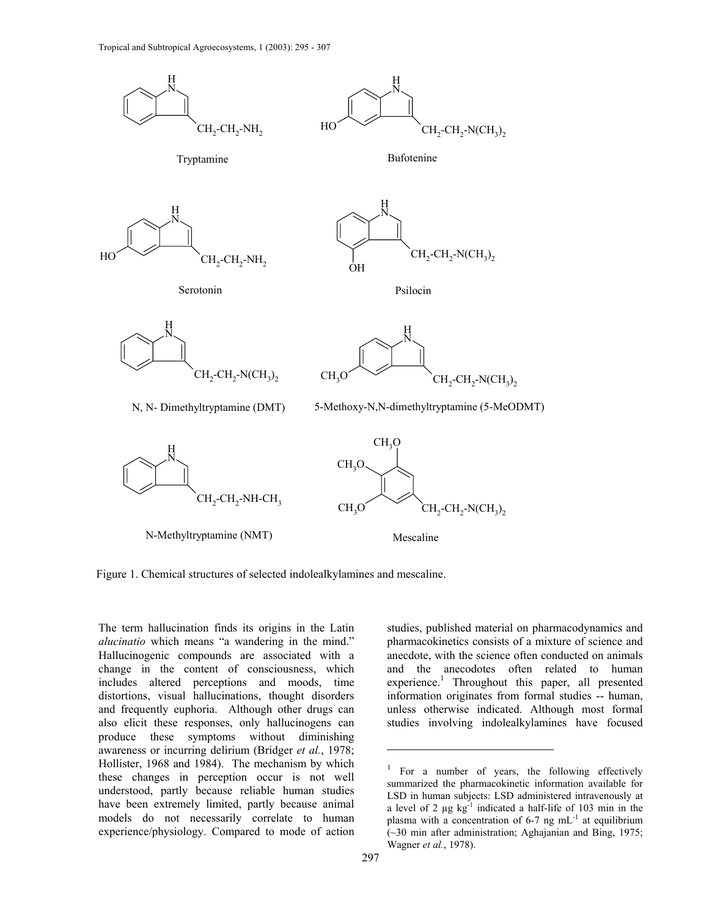

Figure 1. Chemical structures of selected indolealkylamines and mescaline. Figure 1. Chemical structures of selected indolealkylamines and mescaline.

The term hallucination finds its origins in the Latin *alucinatio* which means "a wandering in the mind." Hallucinogenic compounds are associated with a change in the content of consciousness, which includes altered perceptions and moods, time distortions, visual hallucinations, thought disorders and frequently euphoria. Although other drugs can also elicit these responses, only hallucinogens can produce these symptoms without diminishing awareness or incurring delirium (Bridger *et al.*, 1978; Hollister, 1968 and 1984). The mechanism by which these changes in perception occur is not well understood, partly because reliable human studies have been extremely limited, partly because animal models do not necessarily correlate to human experience/physiology. Compared to mode of action

studies, published material on pharmacodynamics and pharmacokinetics consists of a mixture of science and anecdote, with the science often conducted on animals and the anecodotes often related to human experience.<sup>1</sup> Throughout this paper, all presented information originates from formal studies -- human, unless otherwise indicated. Although most formal studies involving indolealkylamines have focused

<u>.</u>

<sup>1</sup> For a number of years, the following effectively summarized the pharmacokinetic information available for LSD in human subjects: LSD administered intravenously at a level of 2  $\mu$ g kg<sup>-1</sup> indicated a half-life of 103 min in the plasma with a concentration of  $6-7$  ng mL<sup>-1</sup> at equilibrium (~30 min after administration; Aghajanian and Bing, 1975; Wagner *et al.*, 1978).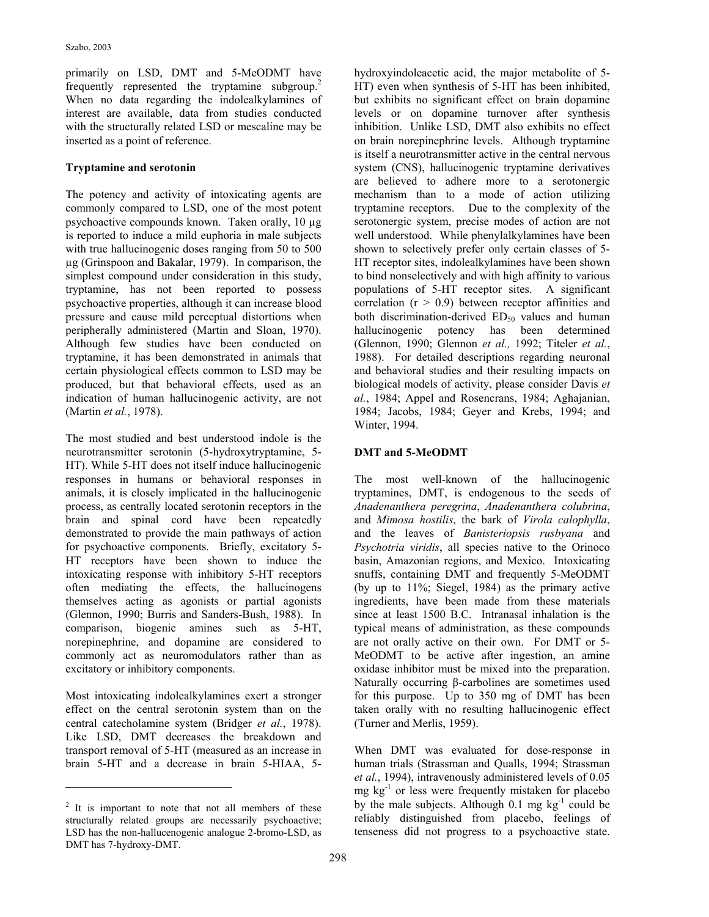primarily on LSD, DMT and 5-MeODMT have frequently represented the tryptamine subgroup.<sup>2</sup> When no data regarding the indolealkylamines of interest are available, data from studies conducted with the structurally related LSD or mescaline may be inserted as a point of reference.

## **Tryptamine and serotonin**

The potency and activity of intoxicating agents are commonly compared to LSD, one of the most potent psychoactive compounds known. Taken orally, 10 µg is reported to induce a mild euphoria in male subjects with true hallucinogenic doses ranging from 50 to 500 µg (Grinspoon and Bakalar, 1979). In comparison, the simplest compound under consideration in this study, tryptamine, has not been reported to possess psychoactive properties, although it can increase blood pressure and cause mild perceptual distortions when peripherally administered (Martin and Sloan, 1970). Although few studies have been conducted on tryptamine, it has been demonstrated in animals that certain physiological effects common to LSD may be produced, but that behavioral effects, used as an indication of human hallucinogenic activity, are not (Martin *et al.*, 1978).

The most studied and best understood indole is the neurotransmitter serotonin (5-hydroxytryptamine, 5- HT). While 5-HT does not itself induce hallucinogenic responses in humans or behavioral responses in animals, it is closely implicated in the hallucinogenic process, as centrally located serotonin receptors in the brain and spinal cord have been repeatedly demonstrated to provide the main pathways of action for psychoactive components. Briefly, excitatory 5- HT receptors have been shown to induce the intoxicating response with inhibitory 5-HT receptors often mediating the effects, the hallucinogens themselves acting as agonists or partial agonists (Glennon, 1990; Burris and Sanders-Bush, 1988). In comparison, biogenic amines such as 5-HT, norepinephrine, and dopamine are considered to commonly act as neuromodulators rather than as excitatory or inhibitory components.

Most intoxicating indolealkylamines exert a stronger effect on the central serotonin system than on the central catecholamine system (Bridger *et al.*, 1978). Like LSD, DMT decreases the breakdown and transport removal of 5-HT (measured as an increase in brain 5-HT and a decrease in brain 5-HIAA, 5-

 $\overline{a}$ 

hydroxyindoleacetic acid, the major metabolite of 5- HT) even when synthesis of 5-HT has been inhibited, but exhibits no significant effect on brain dopamine levels or on dopamine turnover after synthesis inhibition. Unlike LSD, DMT also exhibits no effect on brain norepinephrine levels. Although tryptamine is itself a neurotransmitter active in the central nervous system (CNS), hallucinogenic tryptamine derivatives are believed to adhere more to a serotonergic mechanism than to a mode of action utilizing tryptamine receptors. Due to the complexity of the serotonergic system, precise modes of action are not well understood. While phenylalkylamines have been shown to selectively prefer only certain classes of 5- HT receptor sites, indolealkylamines have been shown to bind nonselectively and with high affinity to various populations of 5-HT receptor sites. A significant correlation  $(r > 0.9)$  between receptor affinities and both discrimination-derived  $ED<sub>50</sub>$  values and human hallucinogenic potency has been determined (Glennon, 1990; Glennon *et al.,* 1992; Titeler *et al.*, 1988). For detailed descriptions regarding neuronal and behavioral studies and their resulting impacts on biological models of activity, please consider Davis *et al.*, 1984; Appel and Rosencrans, 1984; Aghajanian, 1984; Jacobs, 1984; Geyer and Krebs, 1994; and Winter, 1994.

# **DMT and 5-MeODMT**

The most well-known of the hallucinogenic tryptamines, DMT, is endogenous to the seeds of *Anadenanthera peregrina*, *Anadenanthera colubrina*, and *Mimosa hostilis*, the bark of *Virola calophylla*, and the leaves of *Banisteriopsis rusbyana* and *Psychotria viridis*, all species native to the Orinoco basin, Amazonian regions, and Mexico. Intoxicating snuffs, containing DMT and frequently 5-MeODMT (by up to 11%; Siegel, 1984) as the primary active ingredients, have been made from these materials since at least 1500 B.C. Intranasal inhalation is the typical means of administration, as these compounds are not orally active on their own. For DMT or 5- MeODMT to be active after ingestion, an amine oxidase inhibitor must be mixed into the preparation. Naturally occurring β-carbolines are sometimes used for this purpose. Up to 350 mg of DMT has been taken orally with no resulting hallucinogenic effect (Turner and Merlis, 1959).

When DMT was evaluated for dose-response in human trials (Strassman and Qualls, 1994; Strassman *et al.*, 1994), intravenously administered levels of 0.05 mg  $kg<sup>-1</sup>$  or less were frequently mistaken for placebo by the male subjects. Although  $0.1 \text{ mg kg}^{-1}$  could be reliably distinguished from placebo, feelings of tenseness did not progress to a psychoactive state.

 $2$  It is important to note that not all members of these structurally related groups are necessarily psychoactive; LSD has the non-hallucenogenic analogue 2-bromo-LSD, as DMT has 7-hydroxy-DMT.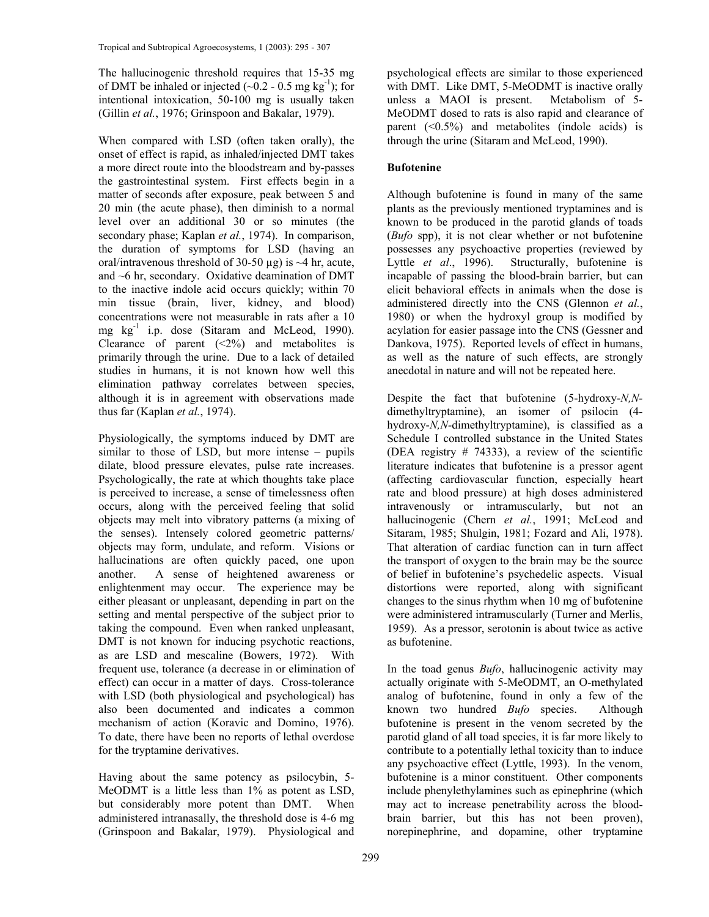The hallucinogenic threshold requires that 15-35 mg of DMT be inhaled or injected  $(\sim 0.2 - 0.5 \text{ mg kg}^{-1})$ ; for intentional intoxication, 50-100 mg is usually taken (Gillin *et al.*, 1976; Grinspoon and Bakalar, 1979).

When compared with LSD (often taken orally), the onset of effect is rapid, as inhaled/injected DMT takes a more direct route into the bloodstream and by-passes the gastrointestinal system. First effects begin in a matter of seconds after exposure, peak between 5 and 20 min (the acute phase), then diminish to a normal level over an additional 30 or so minutes (the secondary phase; Kaplan *et al.*, 1974). In comparison, the duration of symptoms for LSD (having an oral/intravenous threshold of 30-50  $\mu$ g) is ~4 hr, acute, and  $~6$  hr, secondary. Oxidative deamination of DMT to the inactive indole acid occurs quickly; within 70 min tissue (brain, liver, kidney, and blood) concentrations were not measurable in rats after a 10 mg kg-1 i.p. dose (Sitaram and McLeod, 1990). Clearance of parent  $(\leq 2\%)$  and metabolites is primarily through the urine. Due to a lack of detailed studies in humans, it is not known how well this elimination pathway correlates between species, although it is in agreement with observations made thus far (Kaplan *et al.*, 1974).

Physiologically, the symptoms induced by DMT are similar to those of LSD, but more intense – pupils dilate, blood pressure elevates, pulse rate increases. Psychologically, the rate at which thoughts take place is perceived to increase, a sense of timelessness often occurs, along with the perceived feeling that solid objects may melt into vibratory patterns (a mixing of the senses). Intensely colored geometric patterns/ objects may form, undulate, and reform. Visions or hallucinations are often quickly paced, one upon another. A sense of heightened awareness or enlightenment may occur. The experience may be either pleasant or unpleasant, depending in part on the setting and mental perspective of the subject prior to taking the compound. Even when ranked unpleasant, DMT is not known for inducing psychotic reactions, as are LSD and mescaline (Bowers, 1972). With frequent use, tolerance (a decrease in or elimination of effect) can occur in a matter of days. Cross-tolerance with LSD (both physiological and psychological) has also been documented and indicates a common mechanism of action (Koravic and Domino, 1976). To date, there have been no reports of lethal overdose for the tryptamine derivatives.

Having about the same potency as psilocybin, 5- MeODMT is a little less than 1% as potent as LSD, but considerably more potent than DMT. When administered intranasally, the threshold dose is 4-6 mg (Grinspoon and Bakalar, 1979). Physiological and psychological effects are similar to those experienced with DMT. Like DMT, 5-MeODMT is inactive orally unless a MAOI is present. Metabolism of 5- MeODMT dosed to rats is also rapid and clearance of parent  $( $0.5\%$ )$  and metabolites (indole acids) is through the urine (Sitaram and McLeod, 1990).

## **Bufotenine**

Although bufotenine is found in many of the same plants as the previously mentioned tryptamines and is known to be produced in the parotid glands of toads (*Bufo* spp), it is not clear whether or not bufotenine possesses any psychoactive properties (reviewed by Lyttle et al., 1996). Structurally, bufotenine is Structurally, bufotenine is incapable of passing the blood-brain barrier, but can elicit behavioral effects in animals when the dose is administered directly into the CNS (Glennon *et al.*, 1980) or when the hydroxyl group is modified by acylation for easier passage into the CNS (Gessner and Dankova, 1975). Reported levels of effect in humans, as well as the nature of such effects, are strongly anecdotal in nature and will not be repeated here.

Despite the fact that bufotenine (5-hydroxy-*N,N*dimethyltryptamine), an isomer of psilocin (4 hydroxy-*N,N-*dimethyltryptamine), is classified as a Schedule I controlled substance in the United States (DEA registry # 74333), a review of the scientific literature indicates that bufotenine is a pressor agent (affecting cardiovascular function, especially heart rate and blood pressure) at high doses administered intravenously or intramuscularly, but not an hallucinogenic (Chern *et al.*, 1991; McLeod and Sitaram, 1985; Shulgin, 1981; Fozard and Ali, 1978). That alteration of cardiac function can in turn affect the transport of oxygen to the brain may be the source of belief in bufotenine's psychedelic aspects. Visual distortions were reported, along with significant changes to the sinus rhythm when 10 mg of bufotenine were administered intramuscularly (Turner and Merlis, 1959). As a pressor, serotonin is about twice as active as bufotenine.

In the toad genus *Bufo*, hallucinogenic activity may actually originate with 5-MeODMT, an O-methylated analog of bufotenine, found in only a few of the known two hundred *Bufo* species. Although bufotenine is present in the venom secreted by the parotid gland of all toad species, it is far more likely to contribute to a potentially lethal toxicity than to induce any psychoactive effect (Lyttle, 1993). In the venom, bufotenine is a minor constituent. Other components include phenylethylamines such as epinephrine (which may act to increase penetrability across the bloodbrain barrier, but this has not been proven), norepinephrine, and dopamine, other tryptamine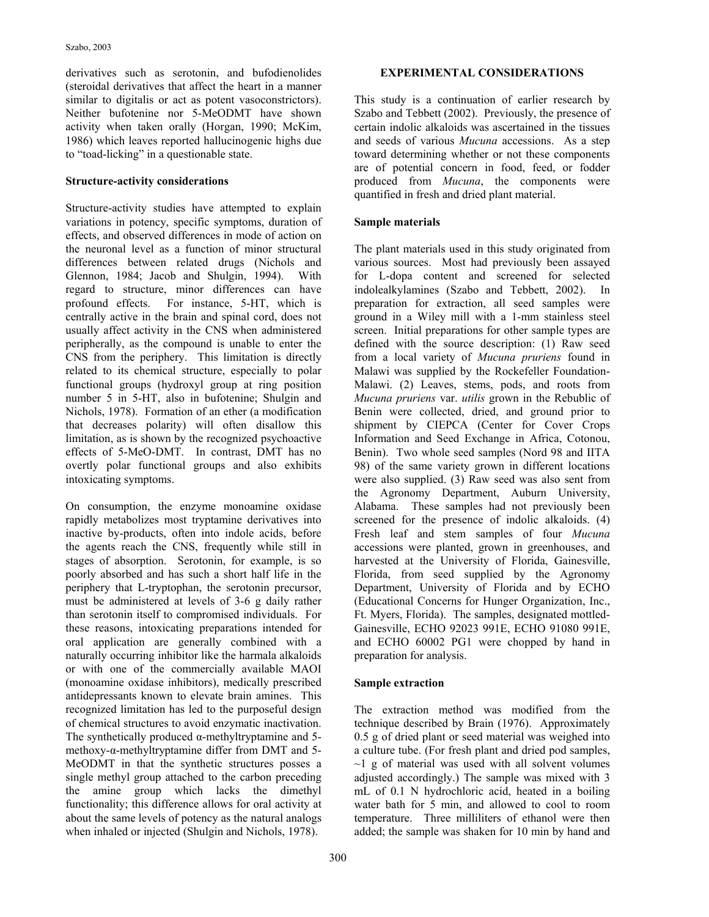derivatives such as serotonin, and bufodienolides (steroidal derivatives that affect the heart in a manner similar to digitalis or act as potent vasoconstrictors). Neither bufotenine nor 5-MeODMT have shown activity when taken orally (Horgan, 1990; McKim, 1986) which leaves reported hallucinogenic highs due to "toad-licking" in a questionable state.

#### **Structure-activity considerations**

Structure-activity studies have attempted to explain variations in potency, specific symptoms, duration of effects, and observed differences in mode of action on the neuronal level as a function of minor structural differences between related drugs (Nichols and Glennon, 1984; Jacob and Shulgin, 1994). With regard to structure, minor differences can have profound effects. For instance, 5-HT, which is centrally active in the brain and spinal cord, does not usually affect activity in the CNS when administered peripherally, as the compound is unable to enter the CNS from the periphery. This limitation is directly related to its chemical structure, especially to polar functional groups (hydroxyl group at ring position number 5 in 5-HT, also in bufotenine; Shulgin and Nichols, 1978). Formation of an ether (a modification that decreases polarity) will often disallow this limitation, as is shown by the recognized psychoactive effects of 5-MeO-DMT. In contrast, DMT has no overtly polar functional groups and also exhibits intoxicating symptoms.

On consumption, the enzyme monoamine oxidase rapidly metabolizes most tryptamine derivatives into inactive by-products, often into indole acids, before the agents reach the CNS, frequently while still in stages of absorption. Serotonin, for example, is so poorly absorbed and has such a short half life in the periphery that L-tryptophan, the serotonin precursor, must be administered at levels of 3-6 g daily rather than serotonin itself to compromised individuals. For these reasons, intoxicating preparations intended for oral application are generally combined with a naturally occurring inhibitor like the harmala alkaloids or with one of the commercially available MAOI (monoamine oxidase inhibitors), medically prescribed antidepressants known to elevate brain amines. This recognized limitation has led to the purposeful design of chemical structures to avoid enzymatic inactivation. The synthetically produced  $\alpha$ -methyltryptamine and 5methoxy-α-methyltryptamine differ from DMT and 5- MeODMT in that the synthetic structures posses a single methyl group attached to the carbon preceding the amine group which lacks the dimethyl functionality; this difference allows for oral activity at about the same levels of potency as the natural analogs when inhaled or injected (Shulgin and Nichols, 1978).

## **EXPERIMENTAL CONSIDERATIONS**

This study is a continuation of earlier research by Szabo and Tebbett (2002). Previously, the presence of certain indolic alkaloids was ascertained in the tissues and seeds of various *Mucuna* accessions. As a step toward determining whether or not these components are of potential concern in food, feed, or fodder produced from *Mucuna*, the components were quantified in fresh and dried plant material.

# **Sample materials**

The plant materials used in this study originated from various sources. Most had previously been assayed for L-dopa content and screened for selected indolealkylamines (Szabo and Tebbett, 2002). In preparation for extraction, all seed samples were ground in a Wiley mill with a 1-mm stainless steel screen. Initial preparations for other sample types are defined with the source description: (1) Raw seed from a local variety of *Mucuna pruriens* found in Malawi was supplied by the Rockefeller Foundation-Malawi. (2) Leaves, stems, pods, and roots from *Mucuna pruriens* var. *utilis* grown in the Rebublic of Benin were collected, dried, and ground prior to shipment by CIEPCA (Center for Cover Crops Information and Seed Exchange in Africa, Cotonou, Benin). Two whole seed samples (Nord 98 and IITA 98) of the same variety grown in different locations were also supplied. (3) Raw seed was also sent from the Agronomy Department, Auburn University, Alabama. These samples had not previously been screened for the presence of indolic alkaloids. (4) Fresh leaf and stem samples of four *Mucuna* accessions were planted, grown in greenhouses, and harvested at the University of Florida, Gainesville, Florida, from seed supplied by the Agronomy Department, University of Florida and by ECHO (Educational Concerns for Hunger Organization, Inc., Ft. Myers, Florida). The samples, designated mottled-Gainesville, ECHO 92023 991E, ECHO 91080 991E, and ECHO 60002 PG1 were chopped by hand in preparation for analysis.

#### **Sample extraction**

The extraction method was modified from the technique described by Brain (1976). Approximately 0.5 g of dried plant or seed material was weighed into a culture tube. (For fresh plant and dried pod samples,  $\sim$ 1 g of material was used with all solvent volumes adjusted accordingly.) The sample was mixed with 3 mL of 0.1 N hydrochloric acid, heated in a boiling water bath for 5 min, and allowed to cool to room temperature. Three milliliters of ethanol were then added; the sample was shaken for 10 min by hand and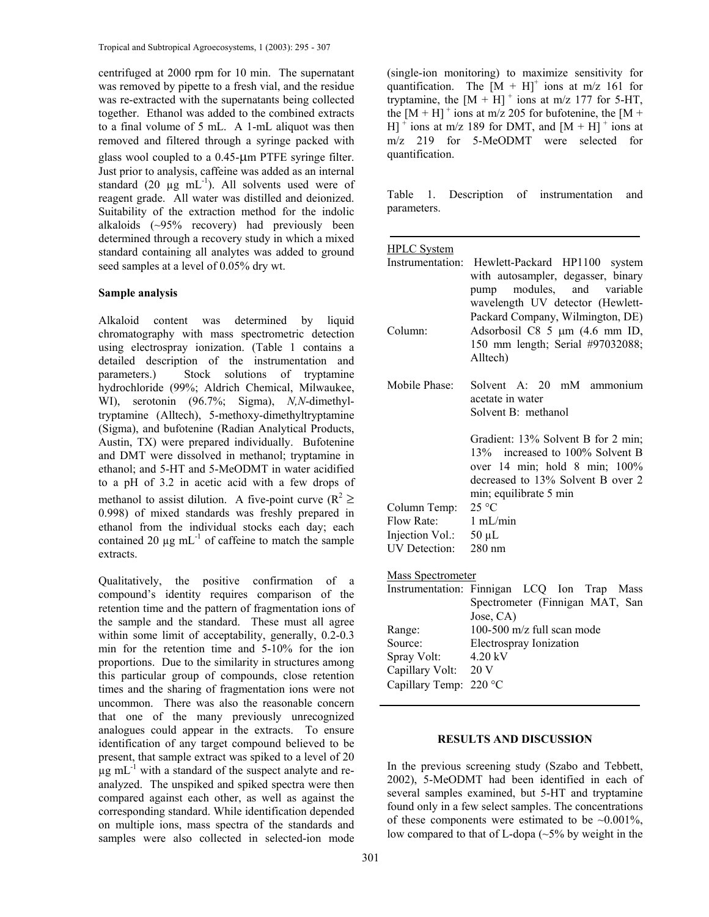centrifuged at 2000 rpm for 10 min. The supernatant was removed by pipette to a fresh vial, and the residue was re-extracted with the supernatants being collected together. Ethanol was added to the combined extracts to a final volume of 5 mL. A 1-mL aliquot was then removed and filtered through a syringe packed with glass wool coupled to a 0.45-µm PTFE syringe filter. Just prior to analysis, caffeine was added as an internal standard (20  $\mu$ g mL<sup>-1</sup>). All solvents used were of reagent grade. All water was distilled and deionized. Suitability of the extraction method for the indolic alkaloids (~95% recovery) had previously been determined through a recovery study in which a mixed standard containing all analytes was added to ground seed samples at a level of 0.05% dry wt.

#### **Sample analysis**

Alkaloid content was determined by liquid chromatography with mass spectrometric detection using electrospray ionization. (Table 1 contains a detailed description of the instrumentation and parameters.) Stock solutions of tryptamine hydrochloride (99%; Aldrich Chemical, Milwaukee, WI), serotonin (96.7%; Sigma), *N,N*-dimethyltryptamine (Alltech), 5-methoxy-dimethyltryptamine (Sigma), and bufotenine (Radian Analytical Products, Austin, TX) were prepared individually. Bufotenine and DMT were dissolved in methanol; tryptamine in ethanol; and 5-HT and 5-MeODMT in water acidified to a pH of 3.2 in acetic acid with a few drops of methanol to assist dilution. A five-point curve ( $R^2 \ge$ 0.998) of mixed standards was freshly prepared in ethanol from the individual stocks each day; each contained 20  $\mu$ g mL<sup>-1</sup> of caffeine to match the sample extracts.

Qualitatively, the positive confirmation of a compound's identity requires comparison of the retention time and the pattern of fragmentation ions of the sample and the standard. These must all agree within some limit of acceptability, generally, 0.2-0.3 min for the retention time and 5-10% for the ion proportions. Due to the similarity in structures among this particular group of compounds, close retention times and the sharing of fragmentation ions were not uncommon. There was also the reasonable concern that one of the many previously unrecognized analogues could appear in the extracts. To ensure identification of any target compound believed to be present, that sample extract was spiked to a level of 20  $\mu$ g mL<sup>-1</sup> with a standard of the suspect analyte and reanalyzed. The unspiked and spiked spectra were then compared against each other, as well as against the corresponding standard. While identification depended on multiple ions, mass spectra of the standards and samples were also collected in selected-ion mode

(single-ion monitoring) to maximize sensitivity for quantification. The  $[M + H]$ <sup>+</sup> ions at m/z 161 for tryptamine, the  $[M + H]$ <sup>+</sup> ions at m/z 177 for 5-HT, the  $[M + H]$ <sup>+</sup> ions at m/z 205 for bufotenine, the  $[M +$  $H$ <sup>+</sup> ions at m/z 189 for DMT, and  $[M + H]$ <sup>+</sup> ions at m/z 219 for 5-MeODMT were selected for quantification.

Table 1. Description of instrumentation and parameters.

| <b>HPLC</b> System                 |                                                                                                                                                                              |
|------------------------------------|------------------------------------------------------------------------------------------------------------------------------------------------------------------------------|
| Instrumentation:                   | Hewlett-Packard HP1100 system<br>with autosampler, degasser, binary<br>modules, and variable<br>pump<br>wavelength UV detector (Hewlett-<br>Packard Company, Wilmington, DE) |
| Column:                            | Adsorbosil C8 5 µm (4.6 mm ID,<br>150 mm length; Serial #97032088;<br>Alltech)                                                                                               |
| Mobile Phase <sup>.</sup>          | Solvent A: 20 mM ammonium<br>acetate in water<br>Solvent B: methanol                                                                                                         |
|                                    | Gradient: 13% Solvent B for 2 min;<br>13%<br>increased to 100% Solvent B<br>over 14 min; hold 8 min; 100%<br>decreased to 13% Solvent B over 2<br>min; equilibrate 5 min     |
| Column Temp:                       | 25 °C                                                                                                                                                                        |
| Flow Rate:<br>Injection Vol.:      | 1 mL/min<br>$50 \mu L$                                                                                                                                                       |
| <b>UV</b> Detection:               | $280 \text{ nm}$                                                                                                                                                             |
| Mass Spectrometer                  |                                                                                                                                                                              |
| Instrumentation:                   | Finnigan LCQ Ion Trap Mass<br>Spectrometer (Finnigan MAT, San<br>Jose, CA)                                                                                                   |
| Range:                             | 100-500 $m/z$ full scan mode                                                                                                                                                 |
| Source:                            | Electrospray Ionization                                                                                                                                                      |
| Spray Volt:                        | 4.20 kV<br>20 V                                                                                                                                                              |
| Capillary Volt:<br>Capillary Temp: | 220 °C                                                                                                                                                                       |
|                                    |                                                                                                                                                                              |

#### **RESULTS AND DISCUSSION**

In the previous screening study (Szabo and Tebbett, 2002), 5-MeODMT had been identified in each of several samples examined, but 5-HT and tryptamine found only in a few select samples. The concentrations of these components were estimated to be  $\sim 0.001\%$ , low compared to that of L-dopa (~5% by weight in the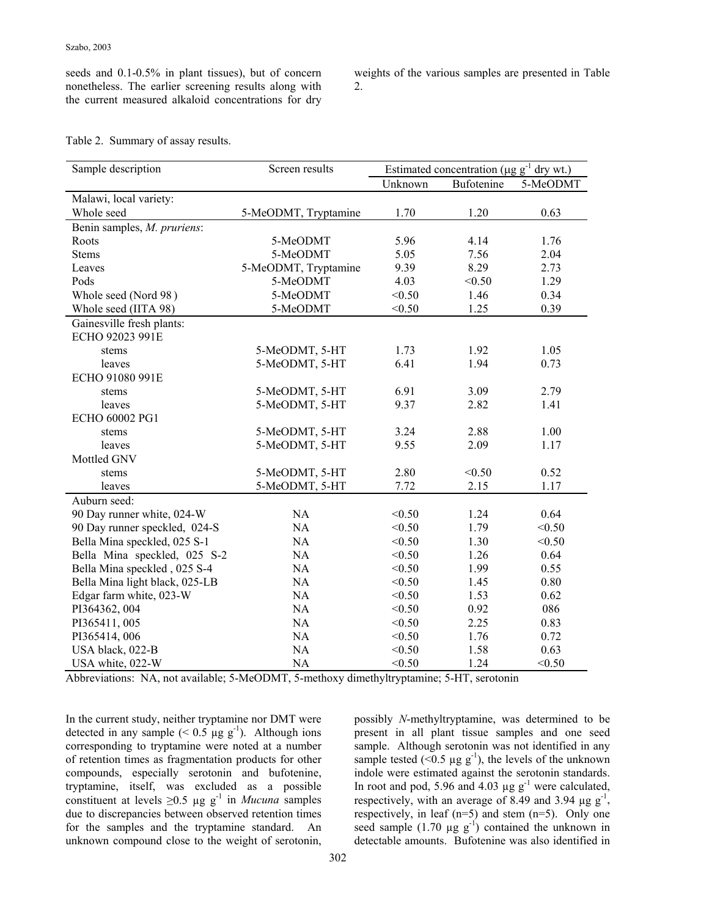seeds and 0.1-0.5% in plant tissues), but of concern nonetheless. The earlier screening results along with the current measured alkaloid concentrations for dry weights of the various samples are presented in Table 2.

|  | Table 2. Summary of assay results. |  |  |
|--|------------------------------------|--|--|
|--|------------------------------------|--|--|

| Sample description             | Screen results       | Estimated concentration ( $\mu$ g g <sup>-1</sup> dry wt.) |            |          |
|--------------------------------|----------------------|------------------------------------------------------------|------------|----------|
|                                |                      | Unknown                                                    | Bufotenine | 5-MeODMT |
| Malawi, local variety:         |                      |                                                            |            |          |
| Whole seed                     | 5-MeODMT, Tryptamine | 1.70                                                       | 1.20       | 0.63     |
| Benin samples, M. pruriens:    |                      |                                                            |            |          |
| Roots                          | 5-MeODMT             | 5.96                                                       | 4.14       | 1.76     |
| <b>Stems</b>                   | 5-MeODMT             | 5.05                                                       | 7.56       | 2.04     |
| Leaves                         | 5-MeODMT, Tryptamine | 9.39                                                       | 8.29       | 2.73     |
| Pods                           | 5-MeODMT             | 4.03                                                       | < 0.50     | 1.29     |
| Whole seed (Nord 98)           | 5-MeODMT             | < 0.50                                                     | 1.46       | 0.34     |
| Whole seed (IITA 98)           | 5-MeODMT             | < 0.50                                                     | 1.25       | 0.39     |
| Gainesville fresh plants:      |                      |                                                            |            |          |
| ECHO 92023 991E                |                      |                                                            |            |          |
| stems                          | 5-MeODMT, 5-HT       | 1.73                                                       | 1.92       | 1.05     |
| leaves                         | 5-MeODMT, 5-HT       | 6.41                                                       | 1.94       | 0.73     |
| ECHO 91080 991E                |                      |                                                            |            |          |
| stems                          | 5-MeODMT, 5-HT       | 6.91                                                       | 3.09       | 2.79     |
| leaves                         | 5-MeODMT, 5-HT       | 9.37                                                       | 2.82       | 1.41     |
| ECHO 60002 PG1                 |                      |                                                            |            |          |
| stems                          | 5-MeODMT, 5-HT       | 3.24                                                       | 2.88       | 1.00     |
| leaves                         | 5-MeODMT, 5-HT       | 9.55                                                       | 2.09       | 1.17     |
| Mottled GNV                    |                      |                                                            |            |          |
| stems                          | 5-MeODMT, 5-HT       | 2.80                                                       | < 0.50     | 0.52     |
| leaves                         | 5-MeODMT, 5-HT       | 7.72                                                       | 2.15       | 1.17     |
| Auburn seed:                   |                      |                                                            |            |          |
| 90 Day runner white, 024-W     | NA                   | < 0.50                                                     | 1.24       | 0.64     |
| 90 Day runner speckled, 024-S  | NA                   | < 0.50                                                     | 1.79       | < 0.50   |
| Bella Mina speckled, 025 S-1   | NA                   | < 0.50                                                     | 1.30       | < 0.50   |
| Bella Mina speckled, 025 S-2   | NA                   | < 0.50                                                     | 1.26       | 0.64     |
| Bella Mina speckled, 025 S-4   | NA                   | < 0.50                                                     | 1.99       | 0.55     |
| Bella Mina light black, 025-LB | NA                   | < 0.50                                                     | 1.45       | 0.80     |
| Edgar farm white, 023-W        | <b>NA</b>            | < 0.50                                                     | 1.53       | 0.62     |
| PI364362, 004                  | <b>NA</b>            | < 0.50                                                     | 0.92       | 086      |
| PI365411, 005                  | NA                   | < 0.50                                                     | 2.25       | 0.83     |
| PI365414, 006                  | NA                   | < 0.50                                                     | 1.76       | 0.72     |
| USA black, 022-B               | NA                   | < 0.50                                                     | 1.58       | 0.63     |
| USA white, 022-W               | <b>NA</b>            | < 0.50                                                     | 1.24       | < 0.50   |

Abbreviations: NA, not available; 5-MeODMT, 5-methoxy dimethyltryptamine; 5-HT, serotonin

In the current study, neither tryptamine nor DMT were detected in any sample  $(< 0.5 \mu g g^{-1})$ . Although ions corresponding to tryptamine were noted at a number of retention times as fragmentation products for other compounds, especially serotonin and bufotenine, tryptamine, itself, was excluded as a possible constituent at levels  $\geq 0.5$  µg g<sup>-1</sup> in *Mucuna* samples due to discrepancies between observed retention times for the samples and the tryptamine standard. An unknown compound close to the weight of serotonin, possibly *N*-methyltryptamine, was determined to be present in all plant tissue samples and one seed sample. Although serotonin was not identified in any sample tested ( $\leq 0.5 \mu g g^{-1}$ ), the levels of the unknown indole were estimated against the serotonin standards. In root and pod, 5.96 and 4.03  $\mu$ g g<sup>-1</sup> were calculated, respectively, with an average of 8.49 and 3.94  $\mu$ g g<sup>-1</sup>, respectively, in leaf (n=5) and stem (n=5). Only one seed sample  $(1.70 \mu g g^{-1})$  contained the unknown in detectable amounts. Bufotenine was also identified in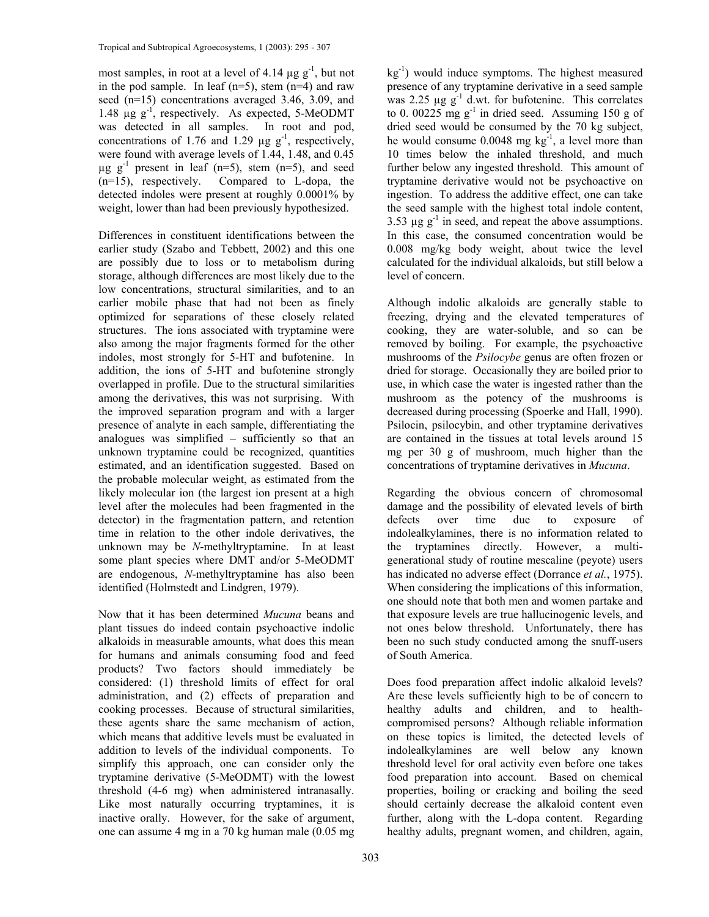most samples, in root at a level of 4.14  $\mu$ g g<sup>-1</sup>, but not in the pod sample. In leaf  $(n=5)$ , stem  $(n=4)$  and raw seed (n=15) concentrations averaged 3.46, 3.09, and 1.48  $\mu$ g g<sup>-1</sup>, respectively. As expected, 5-MeODMT was detected in all samples. In root and pod, concentrations of 1.76 and 1.29  $\mu$ g g<sup>-1</sup>, respectively, were found with average levels of 1.44, 1.48, and 0.45  $\mu$ g g<sup>-1</sup> present in leaf (n=5), stem (n=5), and seed (n=15), respectively. Compared to L-dopa, the detected indoles were present at roughly 0.0001% by weight, lower than had been previously hypothesized.

Differences in constituent identifications between the earlier study (Szabo and Tebbett, 2002) and this one are possibly due to loss or to metabolism during storage, although differences are most likely due to the low concentrations, structural similarities, and to an earlier mobile phase that had not been as finely optimized for separations of these closely related structures. The ions associated with tryptamine were also among the major fragments formed for the other indoles, most strongly for 5-HT and bufotenine. In addition, the ions of 5-HT and bufotenine strongly overlapped in profile. Due to the structural similarities among the derivatives, this was not surprising. With the improved separation program and with a larger presence of analyte in each sample, differentiating the analogues was simplified – sufficiently so that an unknown tryptamine could be recognized, quantities estimated, and an identification suggested. Based on the probable molecular weight, as estimated from the likely molecular ion (the largest ion present at a high level after the molecules had been fragmented in the detector) in the fragmentation pattern, and retention time in relation to the other indole derivatives, the unknown may be *N*-methyltryptamine. In at least some plant species where DMT and/or 5-MeODMT are endogenous, *N*-methyltryptamine has also been identified (Holmstedt and Lindgren, 1979).

Now that it has been determined *Mucuna* beans and plant tissues do indeed contain psychoactive indolic alkaloids in measurable amounts, what does this mean for humans and animals consuming food and feed products? Two factors should immediately be considered: (1) threshold limits of effect for oral administration, and (2) effects of preparation and cooking processes. Because of structural similarities, these agents share the same mechanism of action, which means that additive levels must be evaluated in addition to levels of the individual components. To simplify this approach, one can consider only the tryptamine derivative (5-MeODMT) with the lowest threshold (4-6 mg) when administered intranasally. Like most naturally occurring tryptamines, it is inactive orally. However, for the sake of argument, one can assume 4 mg in a 70 kg human male (0.05 mg  $kg<sup>-1</sup>$ ) would induce symptoms. The highest measured presence of any tryptamine derivative in a seed sample was 2.25  $\mu$ g g<sup>-1</sup> d.wt. for bufotenine. This correlates to 0. 00225 mg  $g^{-1}$  in dried seed. Assuming 150 g of dried seed would be consumed by the 70 kg subject, he would consume 0.0048 mg kg<sup>-1</sup>, a level more than 10 times below the inhaled threshold, and much further below any ingested threshold. This amount of tryptamine derivative would not be psychoactive on ingestion. To address the additive effect, one can take the seed sample with the highest total indole content, 3.53  $\mu$ g g<sup>-1</sup> in seed, and repeat the above assumptions. In this case, the consumed concentration would be 0.008 mg/kg body weight, about twice the level calculated for the individual alkaloids, but still below a level of concern.

Although indolic alkaloids are generally stable to freezing, drying and the elevated temperatures of cooking, they are water-soluble, and so can be removed by boiling. For example, the psychoactive mushrooms of the *Psilocybe* genus are often frozen or dried for storage. Occasionally they are boiled prior to use, in which case the water is ingested rather than the mushroom as the potency of the mushrooms is decreased during processing (Spoerke and Hall, 1990). Psilocin, psilocybin, and other tryptamine derivatives are contained in the tissues at total levels around 15 mg per 30 g of mushroom, much higher than the concentrations of tryptamine derivatives in *Mucuna*.

Regarding the obvious concern of chromosomal damage and the possibility of elevated levels of birth defects over time due to exposure of indolealkylamines, there is no information related to the tryptamines directly. However, a multigenerational study of routine mescaline (peyote) users has indicated no adverse effect (Dorrance *et al.*, 1975). When considering the implications of this information, one should note that both men and women partake and that exposure levels are true hallucinogenic levels, and not ones below threshold. Unfortunately, there has been no such study conducted among the snuff-users of South America.

Does food preparation affect indolic alkaloid levels? Are these levels sufficiently high to be of concern to healthy adults and children, and to healthcompromised persons? Although reliable information on these topics is limited, the detected levels of indolealkylamines are well below any known threshold level for oral activity even before one takes food preparation into account. Based on chemical properties, boiling or cracking and boiling the seed should certainly decrease the alkaloid content even further, along with the L-dopa content. Regarding healthy adults, pregnant women, and children, again,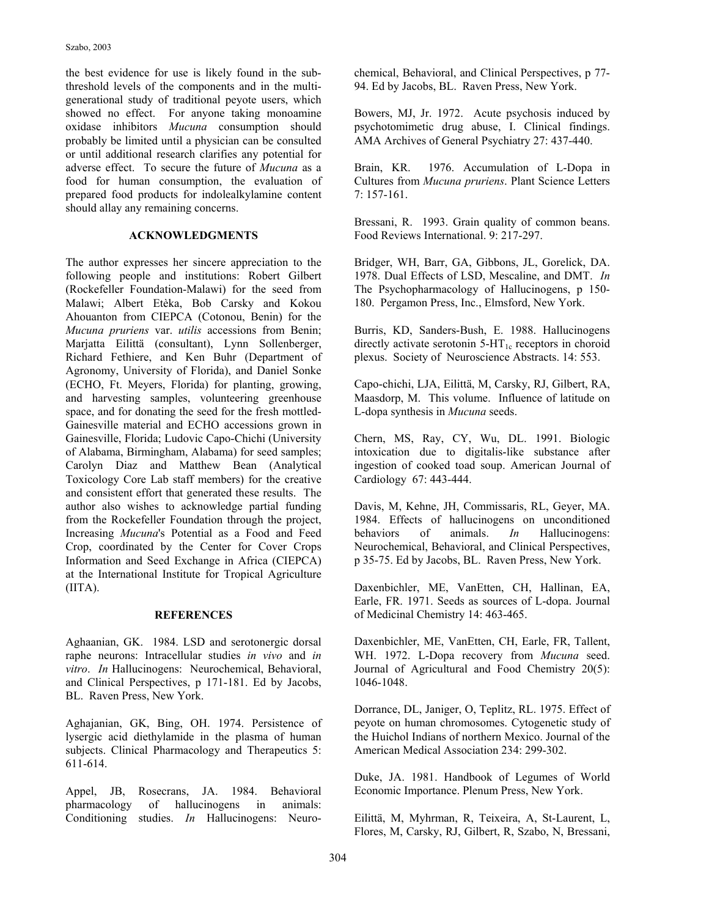the best evidence for use is likely found in the subthreshold levels of the components and in the multigenerational study of traditional peyote users, which showed no effect. For anyone taking monoamine oxidase inhibitors *Mucuna* consumption should probably be limited until a physician can be consulted or until additional research clarifies any potential for adverse effect. To secure the future of *Mucuna* as a food for human consumption, the evaluation of prepared food products for indolealkylamine content should allay any remaining concerns.

#### **ACKNOWLEDGMENTS**

The author expresses her sincere appreciation to the following people and institutions: Robert Gilbert (Rockefeller Foundation-Malawi) for the seed from Malawi; Albert Etèka, Bob Carsky and Kokou Ahouanton from CIEPCA (Cotonou, Benin) for the *Mucuna pruriens* var. *utilis* accessions from Benin; Marjatta Eilittä (consultant), Lynn Sollenberger, Richard Fethiere, and Ken Buhr (Department of Agronomy, University of Florida), and Daniel Sonke (ECHO, Ft. Meyers, Florida) for planting, growing, and harvesting samples, volunteering greenhouse space, and for donating the seed for the fresh mottled-Gainesville material and ECHO accessions grown in Gainesville, Florida; Ludovic Capo-Chichi (University of Alabama, Birmingham, Alabama) for seed samples; Carolyn Diaz and Matthew Bean (Analytical Toxicology Core Lab staff members) for the creative and consistent effort that generated these results. The author also wishes to acknowledge partial funding from the Rockefeller Foundation through the project, Increasing *Mucuna*'s Potential as a Food and Feed Crop, coordinated by the Center for Cover Crops Information and Seed Exchange in Africa (CIEPCA) at the International Institute for Tropical Agriculture  $(IITA)$ .

#### **REFERENCES**

Aghaanian, GK. 1984. LSD and serotonergic dorsal raphe neurons: Intracellular studies *in vivo* and *in vitro*. *In* Hallucinogens: Neurochemical, Behavioral, and Clinical Perspectives, p 171-181. Ed by Jacobs, BL. Raven Press, New York.

Aghajanian, GK, Bing, OH. 1974. Persistence of lysergic acid diethylamide in the plasma of human subjects. Clinical Pharmacology and Therapeutics 5: 611-614.

Appel, JB, Rosecrans, JA. 1984. Behavioral pharmacology of hallucinogens in animals: Conditioning studies. *In* Hallucinogens: Neurochemical, Behavioral, and Clinical Perspectives, p 77- 94. Ed by Jacobs, BL. Raven Press, New York.

Bowers, MJ, Jr. 1972. Acute psychosis induced by psychotomimetic drug abuse, I. Clinical findings. AMA Archives of General Psychiatry 27: 437-440.

Brain, KR. 1976. Accumulation of L-Dopa in Cultures from *Mucuna pruriens*. Plant Science Letters 7: 157-161.

Bressani, R. 1993. Grain quality of common beans. Food Reviews International. 9: 217-297.

Bridger, WH, Barr, GA, Gibbons, JL, Gorelick, DA. 1978. Dual Effects of LSD, Mescaline, and DMT. *In* The Psychopharmacology of Hallucinogens, p 150- 180. Pergamon Press, Inc., Elmsford, New York.

Burris, KD, Sanders-Bush, E. 1988. Hallucinogens directly activate serotonin  $5-HT_{1c}$  receptors in choroid plexus. Society of Neuroscience Abstracts. 14: 553.

Capo-chichi, LJA, Eilittä, M, Carsky, RJ, Gilbert, RA, Maasdorp, M. This volume. Influence of latitude on L-dopa synthesis in *Mucuna* seeds.

Chern, MS, Ray, CY, Wu, DL. 1991. Biologic intoxication due to digitalis-like substance after ingestion of cooked toad soup. American Journal of Cardiology 67: 443-444.

Davis, M, Kehne, JH, Commissaris, RL, Geyer, MA. 1984. Effects of hallucinogens on unconditioned behaviors of animals. *In* Hallucinogens: Neurochemical, Behavioral, and Clinical Perspectives, p 35-75. Ed by Jacobs, BL. Raven Press, New York.

Daxenbichler, ME, VanEtten, CH, Hallinan, EA, Earle, FR. 1971. Seeds as sources of L-dopa. Journal of Medicinal Chemistry 14: 463-465.

Daxenbichler, ME, VanEtten, CH, Earle, FR, Tallent, WH. 1972. L-Dopa recovery from *Mucuna* seed. Journal of Agricultural and Food Chemistry 20(5): 1046-1048.

Dorrance, DL, Janiger, O, Teplitz, RL. 1975. Effect of peyote on human chromosomes. Cytogenetic study of the Huichol Indians of northern Mexico. Journal of the American Medical Association 234: 299-302.

Duke, JA. 1981. Handbook of Legumes of World Economic Importance. Plenum Press, New York.

Eilittä, M, Myhrman, R, Teixeira, A, St-Laurent, L, Flores, M, Carsky, RJ, Gilbert, R, Szabo, N, Bressani,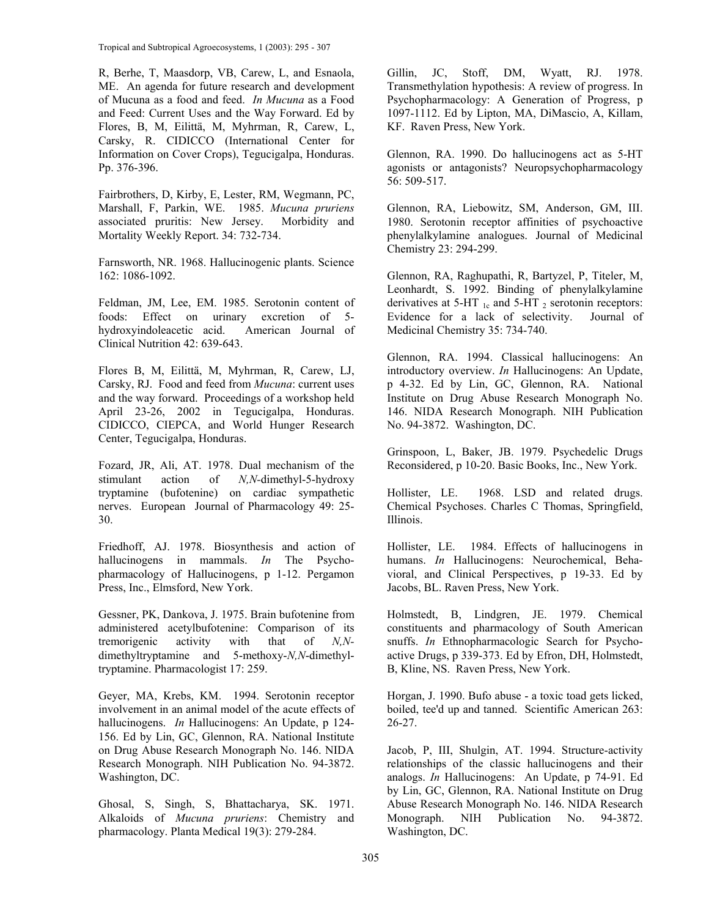Tropical and Subtropical Agroecosystems, 1 (2003): 295 - 307

R, Berhe, T, Maasdorp, VB, Carew, L, and Esnaola, ME. An agenda for future research and development of Mucuna as a food and feed. *In Mucuna* as a Food and Feed: Current Uses and the Way Forward. Ed by Flores, B, M, Eilittä, M, Myhrman, R, Carew, L, Carsky, R. CIDICCO (International Center for Information on Cover Crops), Tegucigalpa, Honduras. Pp. 376-396.

Fairbrothers, D, Kirby, E, Lester, RM, Wegmann, PC, Marshall, F, Parkin, WE. 1985. *Mucuna pruriens* associated pruritis: New Jersey. Morbidity and Mortality Weekly Report. 34: 732-734.

Farnsworth, NR. 1968. Hallucinogenic plants. Science 162: 1086-1092.

Feldman, JM, Lee, EM. 1985. Serotonin content of foods: Effect on urinary excretion of 5 hydroxyindoleacetic acid. American Journal of Clinical Nutrition 42: 639-643.

Flores B, M, Eilittä, M, Myhrman, R, Carew, LJ, Carsky, RJ. Food and feed from *Mucuna*: current uses and the way forward. Proceedings of a workshop held April 23-26, 2002 in Tegucigalpa, Honduras. CIDICCO, CIEPCA, and World Hunger Research Center, Tegucigalpa, Honduras.

Fozard, JR, Ali, AT. 1978. Dual mechanism of the stimulant action of *N,N-*dimethyl-5-hydroxy tryptamine (bufotenine) on cardiac sympathetic nerves. European Journal of Pharmacology 49: 25- 30.

Friedhoff, AJ. 1978. Biosynthesis and action of hallucinogens in mammals. *In* The Psychopharmacology of Hallucinogens, p 1-12. Pergamon Press, Inc., Elmsford, New York.

Gessner, PK, Dankova, J. 1975. Brain bufotenine from administered acetylbufotenine: Comparison of its tremorigenic activity with that of *N,N*dimethyltryptamine and 5-methoxy-*N,N*-dimethyltryptamine. Pharmacologist 17: 259.

Geyer, MA, Krebs, KM. 1994. Serotonin receptor involvement in an animal model of the acute effects of hallucinogens. *In* Hallucinogens: An Update, p 124- 156. Ed by Lin, GC, Glennon, RA. National Institute on Drug Abuse Research Monograph No. 146. NIDA Research Monograph. NIH Publication No. 94-3872. Washington, DC.

Ghosal, S, Singh, S, Bhattacharya, SK. 1971. Alkaloids of *Mucuna pruriens*: Chemistry and pharmacology. Planta Medical 19(3): 279-284.

Gillin, JC, Stoff, DM, Wyatt, RJ. 1978. Transmethylation hypothesis: A review of progress. In Psychopharmacology: A Generation of Progress, p 1097-1112. Ed by Lipton, MA, DiMascio, A, Killam, KF. Raven Press, New York.

Glennon, RA. 1990. Do hallucinogens act as 5-HT agonists or antagonists? Neuropsychopharmacology 56: 509-517.

Glennon, RA, Liebowitz, SM, Anderson, GM, III. 1980. Serotonin receptor affinities of psychoactive phenylalkylamine analogues. Journal of Medicinal Chemistry 23: 294-299.

Glennon, RA, Raghupathi, R, Bartyzel, P, Titeler, M, Leonhardt, S. 1992. Binding of phenylalkylamine derivatives at 5-HT  $_{1c}$  and 5-HT  $_2$  serotonin receptors: Evidence for a lack of selectivity. Journal of Medicinal Chemistry 35: 734-740.

Glennon, RA. 1994. Classical hallucinogens: An introductory overview. *In* Hallucinogens: An Update, p 4-32. Ed by Lin, GC, Glennon, RA. National Institute on Drug Abuse Research Monograph No. 146. NIDA Research Monograph. NIH Publication No. 94-3872. Washington, DC.

Grinspoon, L, Baker, JB. 1979. Psychedelic Drugs Reconsidered, p 10-20. Basic Books, Inc., New York.

Hollister, LE. 1968. LSD and related drugs. Chemical Psychoses. Charles C Thomas, Springfield, Illinois.

Hollister, LE. 1984. Effects of hallucinogens in humans. *In* Hallucinogens: Neurochemical, Behavioral, and Clinical Perspectives, p 19-33. Ed by Jacobs, BL. Raven Press, New York.

Holmstedt, B, Lindgren, JE. 1979. Chemical constituents and pharmacology of South American snuffs. *In* Ethnopharmacologic Search for Psychoactive Drugs, p 339-373. Ed by Efron, DH, Holmstedt, B, Kline, NS. Raven Press, New York.

Horgan, J. 1990. Bufo abuse - a toxic toad gets licked, boiled, tee'd up and tanned. Scientific American 263: 26-27.

Jacob, P, III, Shulgin, AT. 1994. Structure-activity relationships of the classic hallucinogens and their analogs. *In* Hallucinogens: An Update, p 74-91. Ed by Lin, GC, Glennon, RA. National Institute on Drug Abuse Research Monograph No. 146. NIDA Research Monograph. NIH Publication No. 94-3872. Washington, DC.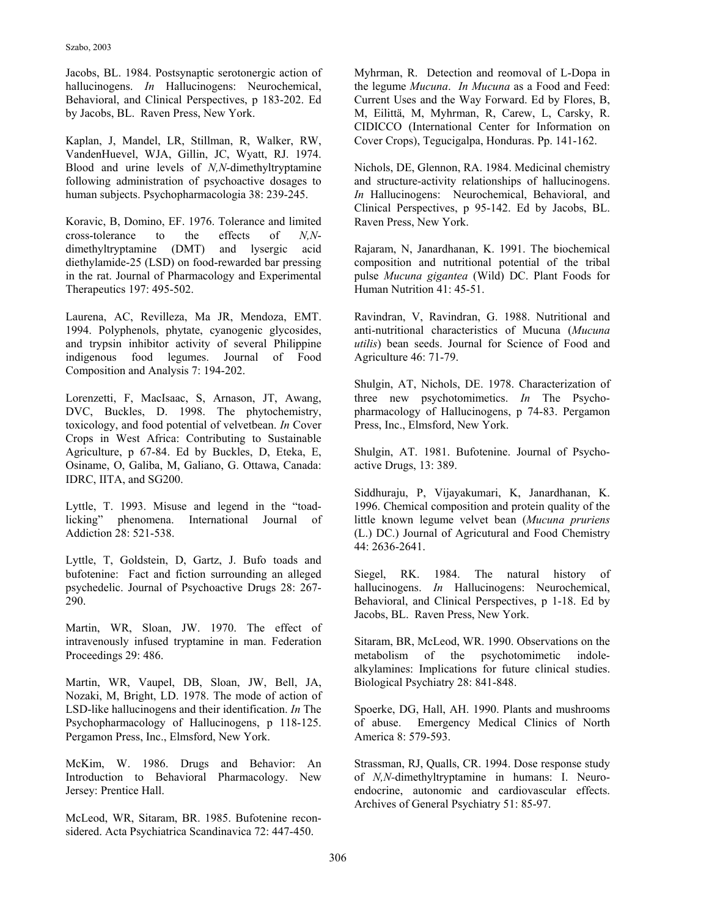Jacobs, BL. 1984. Postsynaptic serotonergic action of hallucinogens. *In* Hallucinogens: Neurochemical, Behavioral, and Clinical Perspectives, p 183-202. Ed by Jacobs, BL. Raven Press, New York.

Kaplan, J, Mandel, LR, Stillman, R, Walker, RW, VandenHuevel, WJA, Gillin, JC, Wyatt, RJ. 1974. Blood and urine levels of *N,N*-dimethyltryptamine following administration of psychoactive dosages to human subjects. Psychopharmacologia 38: 239-245.

Koravic, B, Domino, EF. 1976. Tolerance and limited cross-tolerance to the effects of *N,N*dimethyltryptamine (DMT) and lysergic acid diethylamide-25 (LSD) on food-rewarded bar pressing in the rat. Journal of Pharmacology and Experimental Therapeutics 197: 495-502.

Laurena, AC, Revilleza, Ma JR, Mendoza, EMT. 1994. Polyphenols, phytate, cyanogenic glycosides, and trypsin inhibitor activity of several Philippine indigenous food legumes. Journal of Food Composition and Analysis 7: 194-202.

Lorenzetti, F, MacIsaac, S, Arnason, JT, Awang, DVC, Buckles, D. 1998. The phytochemistry, toxicology, and food potential of velvetbean. *In* Cover Crops in West Africa: Contributing to Sustainable Agriculture, p 67-84. Ed by Buckles, D, Eteka, E, Osiname, O, Galiba, M, Galiano, G. Ottawa, Canada: IDRC, IITA, and SG200.

Lyttle, T. 1993. Misuse and legend in the "toadlicking" phenomena. International Journal of Addiction 28: 521-538.

Lyttle, T, Goldstein, D, Gartz, J. Bufo toads and bufotenine: Fact and fiction surrounding an alleged psychedelic. Journal of Psychoactive Drugs 28: 267- 290.

Martin, WR, Sloan, JW. 1970. The effect of intravenously infused tryptamine in man. Federation Proceedings 29: 486.

Martin, WR, Vaupel, DB, Sloan, JW, Bell, JA, Nozaki, M, Bright, LD. 1978. The mode of action of LSD-like hallucinogens and their identification. *In* The Psychopharmacology of Hallucinogens, p 118-125. Pergamon Press, Inc., Elmsford, New York.

McKim, W. 1986. Drugs and Behavior: An Introduction to Behavioral Pharmacology. New Jersey: Prentice Hall.

McLeod, WR, Sitaram, BR. 1985. Bufotenine reconsidered. Acta Psychiatrica Scandinavica 72: 447-450.

Myhrman, R. Detection and reomoval of L-Dopa in the legume *Mucuna*. *In Mucuna* as a Food and Feed: Current Uses and the Way Forward. Ed by Flores, B, M, Eilittä, M, Myhrman, R, Carew, L, Carsky, R. CIDICCO (International Center for Information on Cover Crops), Tegucigalpa, Honduras. Pp. 141-162.

Nichols, DE, Glennon, RA. 1984. Medicinal chemistry and structure-activity relationships of hallucinogens. *In* Hallucinogens: Neurochemical, Behavioral, and Clinical Perspectives, p 95-142. Ed by Jacobs, BL. Raven Press, New York.

Rajaram, N, Janardhanan, K. 1991. The biochemical composition and nutritional potential of the tribal pulse *Mucuna gigantea* (Wild) DC. Plant Foods for Human Nutrition 41: 45-51.

Ravindran, V, Ravindran, G. 1988. Nutritional and anti-nutritional characteristics of Mucuna (*Mucuna utilis*) bean seeds. Journal for Science of Food and Agriculture 46: 71-79.

Shulgin, AT, Nichols, DE. 1978. Characterization of three new psychotomimetics. *In* The Psychopharmacology of Hallucinogens, p 74-83. Pergamon Press, Inc., Elmsford, New York.

Shulgin, AT. 1981. Bufotenine. Journal of Psychoactive Drugs, 13: 389.

Siddhuraju, P, Vijayakumari, K, Janardhanan, K. 1996. Chemical composition and protein quality of the little known legume velvet bean (*Mucuna pruriens* (L.) DC.) Journal of Agricutural and Food Chemistry 44: 2636-2641.

Siegel, RK. 1984. The natural history of hallucinogens. *In* Hallucinogens: Neurochemical, Behavioral, and Clinical Perspectives, p 1-18. Ed by Jacobs, BL. Raven Press, New York.

Sitaram, BR, McLeod, WR. 1990. Observations on the metabolism of the psychotomimetic indolealkylamines: Implications for future clinical studies. Biological Psychiatry 28: 841-848.

Spoerke, DG, Hall, AH. 1990. Plants and mushrooms of abuse. Emergency Medical Clinics of North America 8: 579-593.

Strassman, RJ, Qualls, CR. 1994. Dose response study of *N,N-*dimethyltryptamine in humans: I. Neuroendocrine, autonomic and cardiovascular effects. Archives of General Psychiatry 51: 85-97.